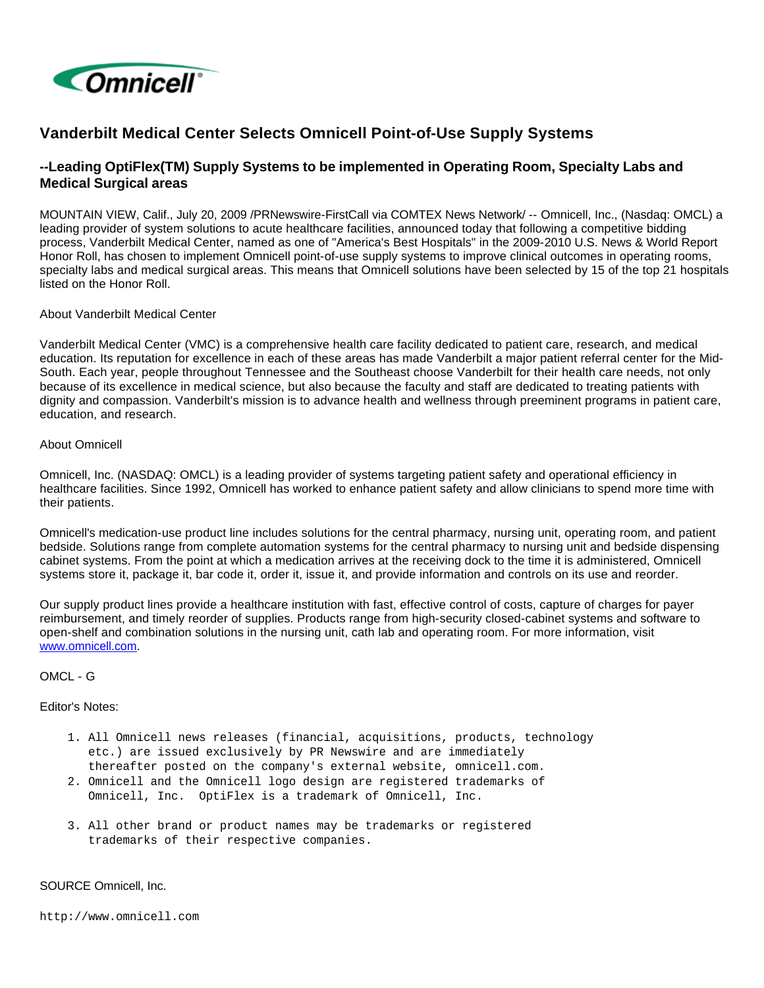

# **Vanderbilt Medical Center Selects Omnicell Point-of-Use Supply Systems**

# **--Leading OptiFlex(TM) Supply Systems to be implemented in Operating Room, Specialty Labs and Medical Surgical areas**

MOUNTAIN VIEW, Calif., July 20, 2009 /PRNewswire-FirstCall via COMTEX News Network/ -- Omnicell, Inc., (Nasdaq: OMCL) a leading provider of system solutions to acute healthcare facilities, announced today that following a competitive bidding process, Vanderbilt Medical Center, named as one of "America's Best Hospitals" in the 2009-2010 U.S. News & World Report Honor Roll, has chosen to implement Omnicell point-of-use supply systems to improve clinical outcomes in operating rooms, specialty labs and medical surgical areas. This means that Omnicell solutions have been selected by 15 of the top 21 hospitals listed on the Honor Roll.

### About Vanderbilt Medical Center

Vanderbilt Medical Center (VMC) is a comprehensive health care facility dedicated to patient care, research, and medical education. Its reputation for excellence in each of these areas has made Vanderbilt a major patient referral center for the Mid-South. Each year, people throughout Tennessee and the Southeast choose Vanderbilt for their health care needs, not only because of its excellence in medical science, but also because the faculty and staff are dedicated to treating patients with dignity and compassion. Vanderbilt's mission is to advance health and wellness through preeminent programs in patient care, education, and research.

### About Omnicell

Omnicell, Inc. (NASDAQ: OMCL) is a leading provider of systems targeting patient safety and operational efficiency in healthcare facilities. Since 1992, Omnicell has worked to enhance patient safety and allow clinicians to spend more time with their patients.

Omnicell's medication-use product line includes solutions for the central pharmacy, nursing unit, operating room, and patient bedside. Solutions range from complete automation systems for the central pharmacy to nursing unit and bedside dispensing cabinet systems. From the point at which a medication arrives at the receiving dock to the time it is administered, Omnicell systems store it, package it, bar code it, order it, issue it, and provide information and controls on its use and reorder.

Our supply product lines provide a healthcare institution with fast, effective control of costs, capture of charges for payer reimbursement, and timely reorder of supplies. Products range from high-security closed-cabinet systems and software to open-shelf and combination solutions in the nursing unit, cath lab and operating room. For more information, visit [www.omnicell.com.](http://www.omnicell.com/)

## OMCL - G

#### Editor's Notes:

- 1. All Omnicell news releases (financial, acquisitions, products, technology etc.) are issued exclusively by PR Newswire and are immediately thereafter posted on the company's external website, omnicell.com.
- 2. Omnicell and the Omnicell logo design are registered trademarks of Omnicell, Inc. OptiFlex is a trademark of Omnicell, Inc.
- 3. All other brand or product names may be trademarks or registered trademarks of their respective companies.

#### SOURCE Omnicell, Inc.

http://www.omnicell.com